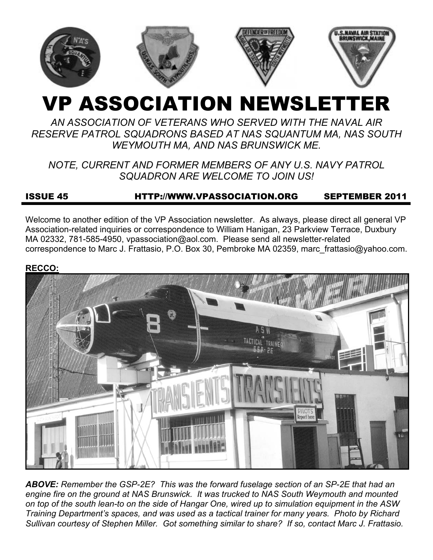

# VP ASSOCIATION NEWSLETTER

*AN ASSOCIATION OF VETERANS WHO SERVED WITH THE NAVAL AIR RESERVE PATROL SQUADRONS BASED AT NAS SQUANTUM MA, NAS SOUTH WEYMOUTH MA, AND NAS BRUNSWICK ME.* 

*NOTE, CURRENT AND FORMER MEMBERS OF ANY U.S. NAVY PATROL SQUADRON ARE WELCOME TO JOIN US!* 

# ISSUE 45 HTTP://WWW.VPASSOCIATION.ORG SEPTEMBER 2011

Welcome to another edition of the VP Association newsletter. As always, please direct all general VP Association-related inquiries or correspondence to William Hanigan, 23 Parkview Terrace, Duxbury MA 02332, 781-585-4950, vpassociation@aol.com. Please send all newsletter-related correspondence to Marc J. Frattasio, P.O. Box 30, Pembroke MA 02359, marc\_frattasio@yahoo.com.

#### **RECCO:**



*ABOVE: Remember the GSP-2E? This was the forward fuselage section of an SP-2E that had an engine fire on the ground at NAS Brunswick. It was trucked to NAS South Weymouth and mounted on top of the south lean-to on the side of Hangar One, wired up to simulation equipment in the ASW Training Department's spaces, and was used as a tactical trainer for many years. Photo by Richard Sullivan courtesy of Stephen Miller. Got something similar to share? If so, contact Marc J. Frattasio.*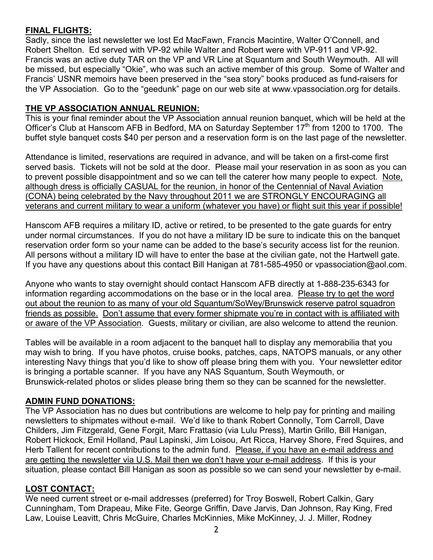# **FINAL FLIGHTS:**

Sadly, since the last newsletter we lost Ed MacFawn, Francis Macintire, Walter O'Connell, and Robert Shelton. Ed served with VP-92 while Walter and Robert were with VP-911 and VP-92. Francis was an active duty TAR on the VP and VR Line at Squantum and South Weymouth. All will be missed, but especially "Okie", who was such an active member of this group. Some of Walter and Francis' USNR memoirs have been preserved in the "sea story" books produced as fund-raisers for the VP Association. Go to the "geedunk" page on our web site at www.vpassociation.org for details.

# **THE VP ASSOCIATION ANNUAL REUNION:**

This is your final reminder about the VP Association annual reunion banquet, which will be held at the Officer's Club at Hanscom AFB in Bedford, MA on Saturday September 17<sup>th</sup> from 1200 to 1700. The buffet style banquet costs \$40 per person and a reservation form is on the last page of the newsletter.

Attendance is limited, reservations are required in advance, and will be taken on a first-come first served basis. Tickets will not be sold at the door. Please mail your reservation in as soon as you can to prevent possible disappointment and so we can tell the caterer how many people to expect. Note, although dress is officially CASUAL for the reunion, in honor of the Centennial of Naval Aviation (CONA) being celebrated by the Navy throughout 2011 we are STRONGLY ENCOURAGING all veterans and current military to wear a uniform (whatever you have) or flight suit this year if possible!

Hanscom AFB requires a military ID, active or retired, to be presented to the gate guards for entry under normal circumstances. If you do not have a military ID be sure to indicate this on the banquet reservation order form so your name can be added to the base's security access list for the reunion. All persons without a military ID will have to enter the base at the civilian gate, not the Hartwell gate. If you have any questions about this contact Bill Hanigan at 781-585-4950 or vpassociation@aol.com.

Anyone who wants to stay overnight should contact Hanscom AFB directly at 1-888-235-6343 for information regarding accommodations on the base or in the local area. Please try to get the word out about the reunion to as many of your old Squantum/SoWey/Brunswick reserve patrol squadron friends as possible. Don't assume that every former shipmate you're in contact with is affiliated with or aware of the VP Association. Guests, military or civilian, are also welcome to attend the reunion.

Tables will be available in a room adjacent to the banquet hall to display any memorabilia that you may wish to bring. If you have photos, cruise books, patches, caps, NATOPS manuals, or any other interesting Navy things that you'd like to show off please bring them with you. Your newsletter editor is bringing a portable scanner. If you have any NAS Squantum, South Weymouth, or Brunswick-related photos or slides please bring them so they can be scanned for the newsletter.

# **ADMIN FUND DONATIONS:**

The VP Association has no dues but contributions are welcome to help pay for printing and mailing newsletters to shipmates without e-mail. We'd like to thank Robert Connolly, Tom Carroll, Dave Childers, Jim Fitzgerald, Gene Forgit, Marc Frattasio (via Lulu Press), Martin Grillo, Bill Hanigan, Robert Hickock, Emil Holland, Paul Lapinski, Jim Loisou, Art Ricca, Harvey Shore, Fred Squires, and Herb Tallent for recent contributions to the admin fund. Please, if you have an e-mail address and are getting the newsletter via U.S. Mail then we don't have your e-mail address. If this is your situation, please contact Bill Hanigan as soon as possible so we can send your newsletter by e-mail.

#### **LOST CONTACT:**

We need current street or e-mail addresses (preferred) for Troy Boswell, Robert Calkin, Gary Cunningham, Tom Drapeau, Mike Fite, George Griffin, Dave Jarvis, Dan Johnson, Ray King, Fred Law, Louise Leavitt, Chris McGuire, Charles McKinnies, Mike McKinney, J. J. Miller, Rodney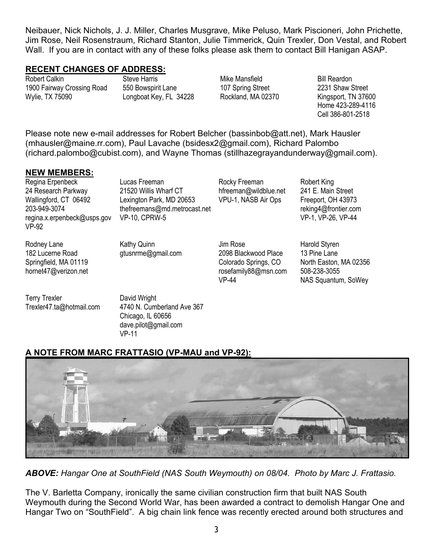Neibauer, Nick Nichols, J. J. Miller, Charles Musgrave, Mike Peluso, Mark Piscioneri, John Prichette, Jim Rose, Neil Rosenstraum, Richard Stanton, Julie Timmerick, Quin Trexler, Don Vestal, and Robert Wall. If you are in contact with any of these folks please ask them to contact Bill Hanigan ASAP.

#### **RECENT CHANGES OF ADDRESS:**

Robert Calkin 1900 Fairway Crossing Road Wylie, TX 75090

Steve Harris 550 Bowspirit Lane Longboat Key, FL 34228

Mike Mansfield 107 Spring Street Rockland, MA 02370 Bill Reardon 2231 Shaw Street Kingsport, TN 37600 Home 423-289-4116 Cell 386-801-2518

Please note new e-mail addresses for Robert Belcher (bassinbob@att.net), Mark Hausler (mhausler@maine.rr.com), Paul Lavache (bsidesx2@gmail.com), Richard Palombo (richard.palombo@cubist.com), and Wayne Thomas (stillhazegrayandunderway@gmail.com).

# **NEW MEMBERS:**

Regina Erpenbeck 24 Research Parkway Wallingford, CT 06492 203-949-3074 regina.x.erpenbeck@usps.gov VP-92

thefreemans@md.metrocast.net VP-10, CPRW-5

Rodney Lane 182 Lucerne Road Springfield, MA 01119 hornet47@verizon.net Kathy Quinn gtusnrme@gmail.com

Lucas Freeman 21520 Willis Wharf CT Lexington Park, MD 20653

Rocky Freeman hfreeman@wildblue.net VPU-1, NASB Air Ops

Jim Rose 2098 Blackwood Place Colorado Springs, CO rosefamily88@msn.com VP-44

Robert King 241 E. Main Street Freeport, OH 43973 reking4@frontier.com VP-1, VP-26, VP-44

Harold Styren 13 Pine Lane North Easton, MA 02356 508-238-3055 NAS Squantum, SoWey

Terry Trexler Trexler47.ta@hotmail.com

David Wright 4740 N. Cumberland Ave 367 Chicago, IL 60656 dave.pilot@gmail.com VP-11

# **A NOTE FROM MARC FRATTASIO (VP-MAU and VP-92):**



*ABOVE: Hangar One at SouthField (NAS South Weymouth) on 08/04. Photo by Marc J. Frattasio.* 

The V. Barletta Company, ironically the same civilian construction firm that built NAS South Weymouth during the Second World War, has been awarded a contract to demolish Hangar One and Hangar Two on "SouthField". A big chain link fence was recently erected around both structures and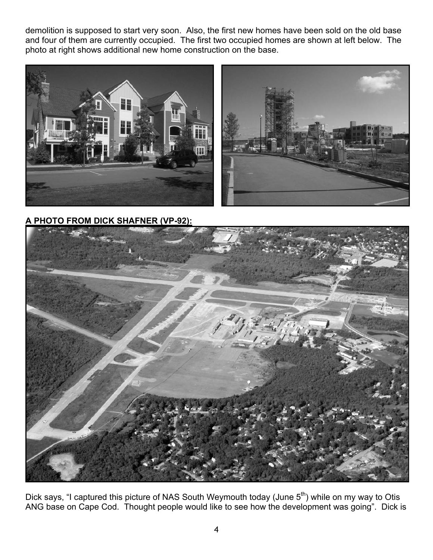demolition is supposed to start very soon. Also, the first new homes have been sold on the old base and four of them are currently occupied. The first two occupied homes are shown at left below. The photo at right shows additional new home construction on the base.



**A PHOTO FROM DICK SHAFNER (VP-92):**



Dick says, "I captured this picture of NAS South Weymouth today (June  $5<sup>th</sup>$ ) while on my way to Otis ANG base on Cape Cod. Thought people would like to see how the development was going". Dick is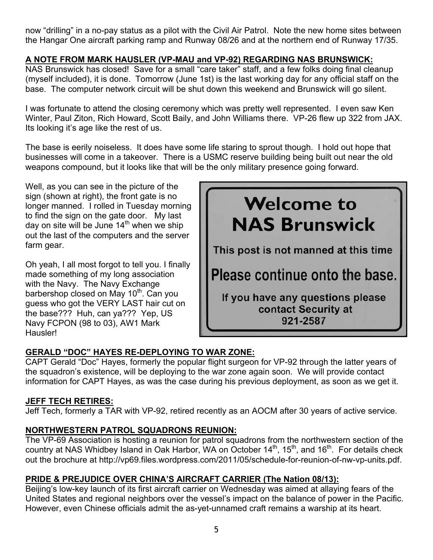now "drilling" in a no-pay status as a pilot with the Civil Air Patrol. Note the new home sites between the Hangar One aircraft parking ramp and Runway 08/26 and at the northern end of Runway 17/35.

# **A NOTE FROM MARK HAUSLER (VP-MAU and VP-92) REGARDING NAS BRUNSWICK:**

NAS Brunswick has closed! Save for a small "care taker" staff, and a few folks doing final cleanup (myself included), it is done. Tomorrow (June 1st) is the last working day for any official staff on the base. The computer network circuit will be shut down this weekend and Brunswick will go silent.

I was fortunate to attend the closing ceremony which was pretty well represented. I even saw Ken Winter, Paul Ziton, Rich Howard, Scott Baily, and John Williams there. VP-26 flew up 322 from JAX. Its looking it's age like the rest of us.

The base is eerily noiseless. It does have some life staring to sprout though. I hold out hope that businesses will come in a takeover. There is a USMC reserve building being built out near the old weapons compound, but it looks like that will be the only military presence going forward.

Well, as you can see in the picture of the sign (shown at right), the front gate is no longer manned. I rolled in Tuesday morning to find the sign on the gate door. My last day on site will be June  $14<sup>th</sup>$  when we ship out the last of the computers and the server farm gear.

Oh yeah, I all most forgot to tell you. I finally made something of my long association with the Navy. The Navy Exchange barbershop closed on May 10<sup>th</sup>. Can you guess who got the VERY LAST hair cut on the base??? Huh, can ya??? Yep, US Navy FCPON (98 to 03), AW1 Mark Hausler!



# **GERALD "DOC" HAYES RE-DEPLOYING TO WAR ZONE:**

CAPT Gerald "Doc" Hayes, formerly the popular flight surgeon for VP-92 through the latter years of the squadron's existence, will be deploying to the war zone again soon. We will provide contact information for CAPT Hayes, as was the case during his previous deployment, as soon as we get it.

# **JEFF TECH RETIRES:**

Jeff Tech, formerly a TAR with VP-92, retired recently as an AOCM after 30 years of active service.

# **NORTHWESTERN PATROL SQUADRONS REUNION:**

The VP-69 Association is hosting a reunion for patrol squadrons from the northwestern section of the country at NAS Whidbey Island in Oak Harbor, WA on October 14<sup>th</sup>, 15<sup>th</sup>, and 16<sup>th</sup>. For details check out the brochure at http://vp69.files.wordpress.com/2011/05/schedule-for-reunion-of-nw-vp-units.pdf.

# **PRIDE & PREJUDICE OVER CHINA'S AIRCRAFT CARRIER (The Nation 08/13):**

Beijing's low-key launch of its first aircraft carrier on Wednesday was aimed at allaying fears of the United States and regional neighbors over the vessel's impact on the balance of power in the Pacific. However, even Chinese officials admit the as-yet-unnamed craft remains a warship at its heart.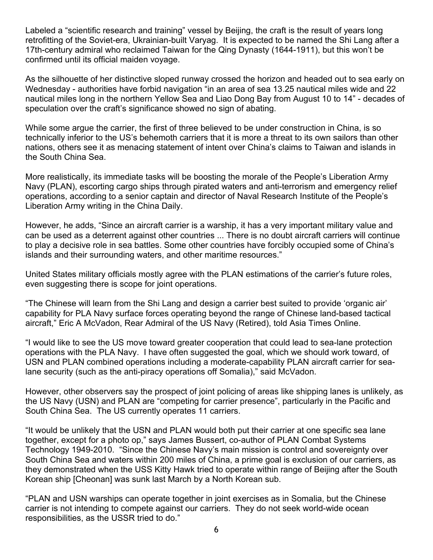Labeled a "scientific research and training" vessel by Beijing, the craft is the result of years long retrofitting of the Soviet-era, Ukrainian-built Varyag. It is expected to be named the Shi Lang after a 17th-century admiral who reclaimed Taiwan for the Qing Dynasty (1644-1911), but this won't be confirmed until its official maiden voyage.

As the silhouette of her distinctive sloped runway crossed the horizon and headed out to sea early on Wednesday - authorities have forbid navigation "in an area of sea 13.25 nautical miles wide and 22 nautical miles long in the northern Yellow Sea and Liao Dong Bay from August 10 to 14" - decades of speculation over the craft's significance showed no sign of abating.

While some argue the carrier, the first of three believed to be under construction in China, is so technically inferior to the US's behemoth carriers that it is more a threat to its own sailors than other nations, others see it as menacing statement of intent over China's claims to Taiwan and islands in the South China Sea.

More realistically, its immediate tasks will be boosting the morale of the People's Liberation Army Navy (PLAN), escorting cargo ships through pirated waters and anti-terrorism and emergency relief operations, according to a senior captain and director of Naval Research Institute of the People's Liberation Army writing in the China Daily.

However, he adds, "Since an aircraft carrier is a warship, it has a very important military value and can be used as a deterrent against other countries ... There is no doubt aircraft carriers will continue to play a decisive role in sea battles. Some other countries have forcibly occupied some of China's islands and their surrounding waters, and other maritime resources."

United States military officials mostly agree with the PLAN estimations of the carrier's future roles, even suggesting there is scope for joint operations.

"The Chinese will learn from the Shi Lang and design a carrier best suited to provide 'organic air' capability for PLA Navy surface forces operating beyond the range of Chinese land-based tactical aircraft," Eric A McVadon, Rear Admiral of the US Navy (Retired), told Asia Times Online.

"I would like to see the US move toward greater cooperation that could lead to sea-lane protection operations with the PLA Navy. I have often suggested the goal, which we should work toward, of USN and PLAN combined operations including a moderate-capability PLAN aircraft carrier for sealane security (such as the anti-piracy operations off Somalia)," said McVadon.

However, other observers say the prospect of joint policing of areas like shipping lanes is unlikely, as the US Navy (USN) and PLAN are "competing for carrier presence", particularly in the Pacific and South China Sea. The US currently operates 11 carriers.

"It would be unlikely that the USN and PLAN would both put their carrier at one specific sea lane together, except for a photo op," says James Bussert, co-author of PLAN Combat Systems Technology 1949-2010. "Since the Chinese Navy's main mission is control and sovereignty over South China Sea and waters within 200 miles of China, a prime goal is exclusion of our carriers, as they demonstrated when the USS Kitty Hawk tried to operate within range of Beijing after the South Korean ship [Cheonan] was sunk last March by a North Korean sub.

"PLAN and USN warships can operate together in joint exercises as in Somalia, but the Chinese carrier is not intending to compete against our carriers. They do not seek world-wide ocean responsibilities, as the USSR tried to do."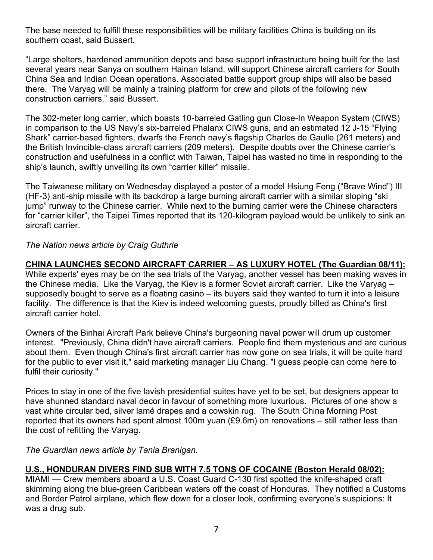The base needed to fulfill these responsibilities will be military facilities China is building on its southern coast, said Bussert.

"Large shelters, hardened ammunition depots and base support infrastructure being built for the last several years near Sanya on southern Hainan Island, will support Chinese aircraft carriers for South China Sea and Indian Ocean operations. Associated battle support group ships will also be based there. The Varyag will be mainly a training platform for crew and pilots of the following new construction carriers," said Bussert.

The 302-meter long carrier, which boasts 10-barreled Gatling gun Close-In Weapon System (CIWS) in comparison to the US Navy's six-barreled Phalanx CIWS guns, and an estimated 12 J-15 "Flying Shark" carrier-based fighters, dwarfs the French navy's flagship Charles de Gaulle (261 meters) and the British Invincible-class aircraft carriers (209 meters). Despite doubts over the Chinese carrier's construction and usefulness in a conflict with Taiwan, Taipei has wasted no time in responding to the ship's launch, swiftly unveiling its own "carrier killer" missile.

The Taiwanese military on Wednesday displayed a poster of a model Hsiung Feng ("Brave Wind") III (HF-3) anti-ship missile with its backdrop a large burning aircraft carrier with a similar sloping "ski jump" runway to the Chinese carrier. While next to the burning carrier were the Chinese characters for "carrier killer", the Taipei Times reported that its 120-kilogram payload would be unlikely to sink an aircraft carrier.

# *The Nation news article by Craig Guthrie*

# **CHINA LAUNCHES SECOND AIRCRAFT CARRIER – AS LUXURY HOTEL (The Guardian 08/11):**

While experts' eyes may be on the sea trials of the Varyag, another vessel has been making waves in the Chinese media. Like the Varyag, the Kiev is a former Soviet aircraft carrier. Like the Varyag – supposedly bought to serve as a floating casino – its buyers said they wanted to turn it into a leisure facility. The difference is that the Kiev is indeed welcoming guests, proudly billed as China's first aircraft carrier hotel.

Owners of the Binhai Aircraft Park believe China's burgeoning naval power will drum up customer interest. "Previously, China didn't have aircraft carriers. People find them mysterious and are curious about them. Even though China's first aircraft carrier has now gone on sea trials, it will be quite hard for the public to ever visit it," said marketing manager Liu Chang. "I guess people can come here to fulfil their curiosity."

Prices to stay in one of the five lavish presidential suites have yet to be set, but designers appear to have shunned standard naval decor in favour of something more luxurious. Pictures of one show a vast white circular bed, silver lamé drapes and a cowskin rug. The South China Morning Post reported that its owners had spent almost 100m yuan (£9.6m) on renovations – still rather less than the cost of refitting the Varyag.

*The Guardian news article by Tania Branigan.* 

# **U.S., HONDURAN DIVERS FIND SUB WITH 7.5 TONS OF COCAINE (Boston Herald 08/02):**

MIAMI — Crew members aboard a U.S. Coast Guard C-130 first spotted the knife-shaped craft skimming along the blue-green Caribbean waters off the coast of Honduras. They notified a Customs and Border Patrol airplane, which flew down for a closer look, confirming everyone's suspicions: It was a drug sub.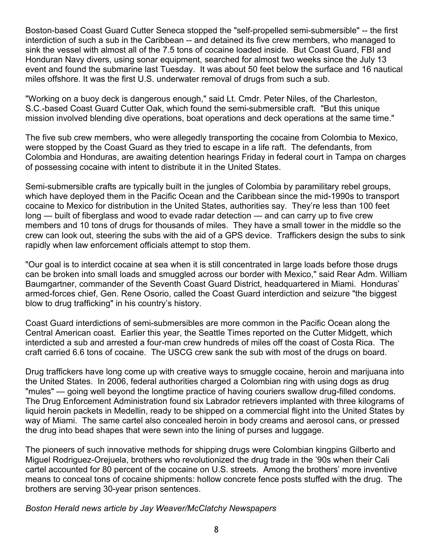Boston-based Coast Guard Cutter Seneca stopped the "self-propelled semi-submersible" -- the first interdiction of such a sub in the Caribbean -- and detained its five crew members, who managed to sink the vessel with almost all of the 7.5 tons of cocaine loaded inside. But Coast Guard, FBI and Honduran Navy divers, using sonar equipment, searched for almost two weeks since the July 13 event and found the submarine last Tuesday. It was about 50 feet below the surface and 16 nautical miles offshore. It was the first U.S. underwater removal of drugs from such a sub.

"Working on a buoy deck is dangerous enough," said Lt. Cmdr. Peter Niles, of the Charleston, S.C.-based Coast Guard Cutter Oak, which found the semi-submersible craft. "But this unique mission involved blending dive operations, boat operations and deck operations at the same time."

The five sub crew members, who were allegedly transporting the cocaine from Colombia to Mexico, were stopped by the Coast Guard as they tried to escape in a life raft. The defendants, from Colombia and Honduras, are awaiting detention hearings Friday in federal court in Tampa on charges of possessing cocaine with intent to distribute it in the United States.

Semi-submersible crafts are typically built in the jungles of Colombia by paramilitary rebel groups, which have deployed them in the Pacific Ocean and the Caribbean since the mid-1990s to transport cocaine to Mexico for distribution in the United States, authorities say. They're less than 100 feet long — built of fiberglass and wood to evade radar detection — and can carry up to five crew members and 10 tons of drugs for thousands of miles. They have a small tower in the middle so the crew can look out, steering the subs with the aid of a GPS device. Traffickers design the subs to sink rapidly when law enforcement officials attempt to stop them.

"Our goal is to interdict cocaine at sea when it is still concentrated in large loads before those drugs can be broken into small loads and smuggled across our border with Mexico," said Rear Adm. William Baumgartner, commander of the Seventh Coast Guard District, headquartered in Miami. Honduras' armed-forces chief, Gen. Rene Osorio, called the Coast Guard interdiction and seizure "the biggest blow to drug trafficking" in his country's history.

Coast Guard interdictions of semi-submersibles are more common in the Pacific Ocean along the Central American coast. Earlier this year, the Seattle Times reported on the Cutter Midgett, which interdicted a sub and arrested a four-man crew hundreds of miles off the coast of Costa Rica. The craft carried 6.6 tons of cocaine. The USCG crew sank the sub with most of the drugs on board.

Drug traffickers have long come up with creative ways to smuggle cocaine, heroin and marijuana into the United States. In 2006, federal authorities charged a Colombian ring with using dogs as drug "mules" — going well beyond the longtime practice of having couriers swallow drug-filled condoms. The Drug Enforcement Administration found six Labrador retrievers implanted with three kilograms of liquid heroin packets in Medellin, ready to be shipped on a commercial flight into the United States by way of Miami. The same cartel also concealed heroin in body creams and aerosol cans, or pressed the drug into bead shapes that were sewn into the lining of purses and luggage.

The pioneers of such innovative methods for shipping drugs were Colombian kingpins Gilberto and Miguel Rodriguez-Orejuela, brothers who revolutionized the drug trade in the '90s when their Cali cartel accounted for 80 percent of the cocaine on U.S. streets. Among the brothers' more inventive means to conceal tons of cocaine shipments: hollow concrete fence posts stuffed with the drug. The brothers are serving 30-year prison sentences.

*Boston Herald news article by Jay Weaver/McClatchy Newspapers*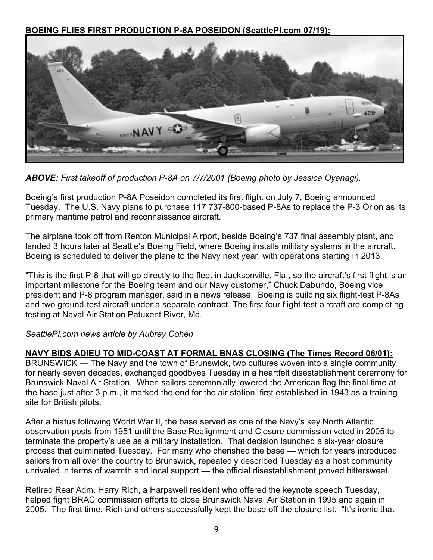**BOEING FLIES FIRST PRODUCTION P-8A POSEIDON (SeattlePI.com 07/19):**



*ABOVE: First takeoff of production P-8A on 7/7/2001 (Boeing photo by Jessica Oyanagi).* 

Boeing's first production P-8A Poseidon completed its first flight on July 7, Boeing announced Tuesday. The U.S. Navy plans to purchase 117 737-800-based P-8As to replace the P-3 Orion as its primary maritime patrol and reconnaissance aircraft.

The airplane took off from Renton Municipal Airport, beside Boeing's 737 final assembly plant, and landed 3 hours later at Seattle's Boeing Field, where Boeing installs military systems in the aircraft. Boeing is scheduled to deliver the plane to the Navy next year, with operations starting in 2013.

"This is the first P-8 that will go directly to the fleet in Jacksonville, Fla., so the aircraft's first flight is an important milestone for the Boeing team and our Navy customer," Chuck Dabundo, Boeing vice president and P-8 program manager, said in a news release. Boeing is building six flight-test P-8As and two ground-test aircraft under a separate contract. The first four flight-test aircraft are completing testing at Naval Air Station Patuxent River, Md.

*SeattlePI.com news article by Aubrey Cohen* 

# **NAVY BIDS ADIEU TO MID-COAST AT FORMAL BNAS CLOSING (The Times Record 06/01):**

BRUNSWICK — The Navy and the town of Brunswick, two cultures woven into a single community for nearly seven decades, exchanged goodbyes Tuesday in a heartfelt disestablishment ceremony for Brunswick Naval Air Station. When sailors ceremonially lowered the American flag the final time at the base just after 3 p.m., it marked the end for the air station, first established in 1943 as a training site for British pilots.

After a hiatus following World War II, the base served as one of the Navy's key North Atlantic observation posts from 1951 until the Base Realignment and Closure commission voted in 2005 to terminate the property's use as a military installation. That decision launched a six-year closure process that culminated Tuesday. For many who cherished the base — which for years introduced sailors from all over the country to Brunswick, repeatedly described Tuesday as a host community unrivaled in terms of warmth and local support — the official disestablishment proved bittersweet.

Retired Rear Adm. Harry Rich, a Harpswell resident who offered the keynote speech Tuesday, helped fight BRAC commission efforts to close Brunswick Naval Air Station in 1995 and again in 2005. The first time, Rich and others successfully kept the base off the closure list. "It's ironic that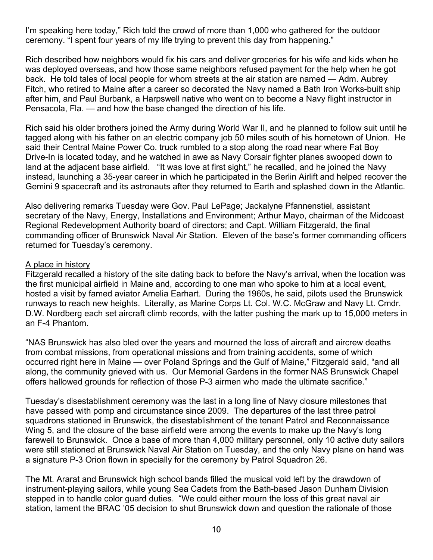I'm speaking here today," Rich told the crowd of more than 1,000 who gathered for the outdoor ceremony. "I spent four years of my life trying to prevent this day from happening."

Rich described how neighbors would fix his cars and deliver groceries for his wife and kids when he was deployed overseas, and how those same neighbors refused payment for the help when he got back. He told tales of local people for whom streets at the air station are named — Adm. Aubrey Fitch, who retired to Maine after a career so decorated the Navy named a Bath Iron Works-built ship after him, and Paul Burbank, a Harpswell native who went on to become a Navy flight instructor in Pensacola, Fla. — and how the base changed the direction of his life.

Rich said his older brothers joined the Army during World War II, and he planned to follow suit until he tagged along with his father on an electric company job 50 miles south of his hometown of Union. He said their Central Maine Power Co. truck rumbled to a stop along the road near where Fat Boy Drive-In is located today, and he watched in awe as Navy Corsair fighter planes swooped down to land at the adjacent base airfield. "It was love at first sight," he recalled, and he joined the Navy instead, launching a 35-year career in which he participated in the Berlin Airlift and helped recover the Gemini 9 spacecraft and its astronauts after they returned to Earth and splashed down in the Atlantic.

Also delivering remarks Tuesday were Gov. Paul LePage; Jackalyne Pfannenstiel, assistant secretary of the Navy, Energy, Installations and Environment; Arthur Mayo, chairman of the Midcoast Regional Redevelopment Authority board of directors; and Capt. William Fitzgerald, the final commanding officer of Brunswick Naval Air Station. Eleven of the base's former commanding officers returned for Tuesday's ceremony.

#### A place in history

Fitzgerald recalled a history of the site dating back to before the Navy's arrival, when the location was the first municipal airfield in Maine and, according to one man who spoke to him at a local event, hosted a visit by famed aviator Amelia Earhart. During the 1960s, he said, pilots used the Brunswick runways to reach new heights. Literally, as Marine Corps Lt. Col. W.C. McGraw and Navy Lt. Cmdr. D.W. Nordberg each set aircraft climb records, with the latter pushing the mark up to 15,000 meters in an F-4 Phantom.

"NAS Brunswick has also bled over the years and mourned the loss of aircraft and aircrew deaths from combat missions, from operational missions and from training accidents, some of which occurred right here in Maine — over Poland Springs and the Gulf of Maine," Fitzgerald said, "and all along, the community grieved with us. Our Memorial Gardens in the former NAS Brunswick Chapel offers hallowed grounds for reflection of those P-3 airmen who made the ultimate sacrifice."

Tuesday's disestablishment ceremony was the last in a long line of Navy closure milestones that have passed with pomp and circumstance since 2009. The departures of the last three patrol squadrons stationed in Brunswick, the disestablishment of the tenant Patrol and Reconnaissance Wing 5, and the closure of the base airfield were among the events to make up the Navy's long farewell to Brunswick. Once a base of more than 4,000 military personnel, only 10 active duty sailors were still stationed at Brunswick Naval Air Station on Tuesday, and the only Navy plane on hand was a signature P-3 Orion flown in specially for the ceremony by Patrol Squadron 26.

The Mt. Ararat and Brunswick high school bands filled the musical void left by the drawdown of instrument-playing sailors, while young Sea Cadets from the Bath-based Jason Dunham Division stepped in to handle color guard duties. "We could either mourn the loss of this great naval air station, lament the BRAC '05 decision to shut Brunswick down and question the rationale of those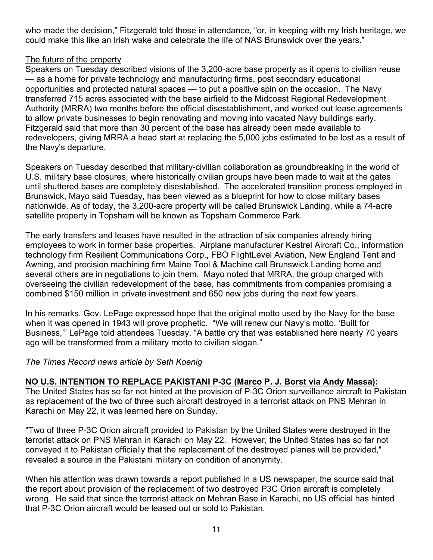who made the decision," Fitzgerald told those in attendance, "or, in keeping with my Irish heritage, we could make this like an Irish wake and celebrate the life of NAS Brunswick over the years."

## The future of the property

Speakers on Tuesday described visions of the 3,200-acre base property as it opens to civilian reuse — as a home for private technology and manufacturing firms, post secondary educational opportunities and protected natural spaces — to put a positive spin on the occasion. The Navy transferred 715 acres associated with the base airfield to the Midcoast Regional Redevelopment Authority (MRRA) two months before the official disestablishment, and worked out lease agreements to allow private businesses to begin renovating and moving into vacated Navy buildings early. Fitzgerald said that more than 30 percent of the base has already been made available to redevelopers, giving MRRA a head start at replacing the 5,000 jobs estimated to be lost as a result of the Navy's departure.

Speakers on Tuesday described that military-civilian collaboration as groundbreaking in the world of U.S. military base closures, where historically civilian groups have been made to wait at the gates until shuttered bases are completely disestablished. The accelerated transition process employed in Brunswick, Mayo said Tuesday, has been viewed as a blueprint for how to close military bases nationwide. As of today, the 3,200-acre property will be called Brunswick Landing, while a 74-acre satellite property in Topsham will be known as Topsham Commerce Park.

The early transfers and leases have resulted in the attraction of six companies already hiring employees to work in former base properties. Airplane manufacturer Kestrel Aircraft Co., information technology firm Resilient Communications Corp., FBO FlightLevel Aviation, New England Tent and Awning, and precision machining firm Maine Tool & Machine call Brunswick Landing home and several others are in negotiations to join them. Mayo noted that MRRA, the group charged with overseeing the civilian redevelopment of the base, has commitments from companies promising a combined \$150 million in private investment and 650 new jobs during the next few years.

In his remarks, Gov. LePage expressed hope that the original motto used by the Navy for the base when it was opened in 1943 will prove prophetic. "We will renew our Navy's motto, 'Built for Business,'" LePage told attendees Tuesday. "A battle cry that was established here nearly 70 years ago will be transformed from a military motto to civilian slogan."

#### *The Times Record news article by Seth Koenig*

# **NO U.S. INTENTION TO REPLACE PAKISTANI P-3C (Marco P. J. Borst via Andy Massa):**

The United States has so far not hinted at the provision of P-3C Orion surveillance aircraft to Pakistan as replacement of the two of three such aircraft destroyed in a terrorist attack on PNS Mehran in Karachi on May 22, it was learned here on Sunday.

"Two of three P-3C Orion aircraft provided to Pakistan by the United States were destroyed in the terrorist attack on PNS Mehran in Karachi on May 22. However, the United States has so far not conveyed it to Pakistan officially that the replacement of the destroyed planes will be provided," revealed a source in the Pakistani military on condition of anonymity.

When his attention was drawn towards a report published in a US newspaper, the source said that the report about provision of the replacement of two destroyed P3C Orion aircraft is completely wrong. He said that since the terrorist attack on Mehran Base in Karachi, no US official has hinted that P-3C Orion aircraft would be leased out or sold to Pakistan.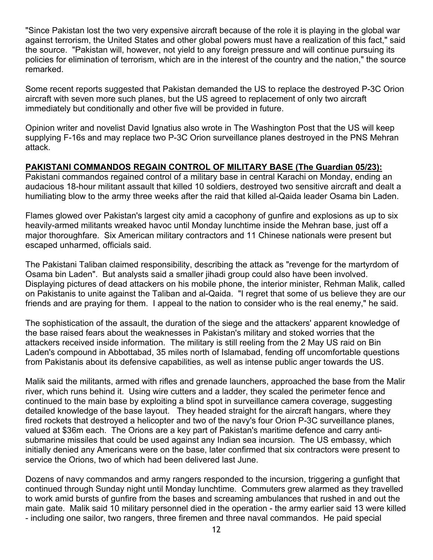"Since Pakistan lost the two very expensive aircraft because of the role it is playing in the global war against terrorism, the United States and other global powers must have a realization of this fact," said the source. "Pakistan will, however, not yield to any foreign pressure and will continue pursuing its policies for elimination of terrorism, which are in the interest of the country and the nation," the source remarked.

Some recent reports suggested that Pakistan demanded the US to replace the destroyed P-3C Orion aircraft with seven more such planes, but the US agreed to replacement of only two aircraft immediately but conditionally and other five will be provided in future.

Opinion writer and novelist David Ignatius also wrote in The Washington Post that the US will keep supplying F-16s and may replace two P-3C Orion surveillance planes destroyed in the PNS Mehran attack.

# **PAKISTANI COMMANDOS REGAIN CONTROL OF MILITARY BASE (The Guardian 05/23):**

Pakistani commandos regained control of a military base in central Karachi on Monday, ending an audacious 18-hour militant assault that killed 10 soldiers, destroyed two sensitive aircraft and dealt a humiliating blow to the army three weeks after the raid that killed al-Qaida leader Osama bin Laden.

Flames glowed over Pakistan's largest city amid a cacophony of gunfire and explosions as up to six heavily-armed militants wreaked havoc until Monday lunchtime inside the Mehran base, just off a major thoroughfare. Six American military contractors and 11 Chinese nationals were present but escaped unharmed, officials said.

The Pakistani Taliban claimed responsibility, describing the attack as "revenge for the martyrdom of Osama bin Laden". But analysts said a smaller jihadi group could also have been involved. Displaying pictures of dead attackers on his mobile phone, the interior minister, Rehman Malik, called on Pakistanis to unite against the Taliban and al-Qaida. "I regret that some of us believe they are our friends and are praying for them. I appeal to the nation to consider who is the real enemy," he said.

The sophistication of the assault, the duration of the siege and the attackers' apparent knowledge of the base raised fears about the weaknesses in Pakistan's military and stoked worries that the attackers received inside information. The military is still reeling from the 2 May US raid on Bin Laden's compound in Abbottabad, 35 miles north of Islamabad, fending off uncomfortable questions from Pakistanis about its defensive capabilities, as well as intense public anger towards the US.

Malik said the militants, armed with rifles and grenade launchers, approached the base from the Malir river, which runs behind it. Using wire cutters and a ladder, they scaled the perimeter fence and continued to the main base by exploiting a blind spot in surveillance camera coverage, suggesting detailed knowledge of the base layout. They headed straight for the aircraft hangars, where they fired rockets that destroyed a helicopter and two of the navy's four Orion P-3C surveillance planes, valued at \$36m each. The Orions are a key part of Pakistan's maritime defence and carry antisubmarine missiles that could be used against any Indian sea incursion. The US embassy, which initially denied any Americans were on the base, later confirmed that six contractors were present to service the Orions, two of which had been delivered last June.

Dozens of navy commandos and army rangers responded to the incursion, triggering a gunfight that continued through Sunday night until Monday lunchtime. Commuters grew alarmed as they travelled to work amid bursts of gunfire from the bases and screaming ambulances that rushed in and out the main gate. Malik said 10 military personnel died in the operation - the army earlier said 13 were killed - including one sailor, two rangers, three firemen and three naval commandos. He paid special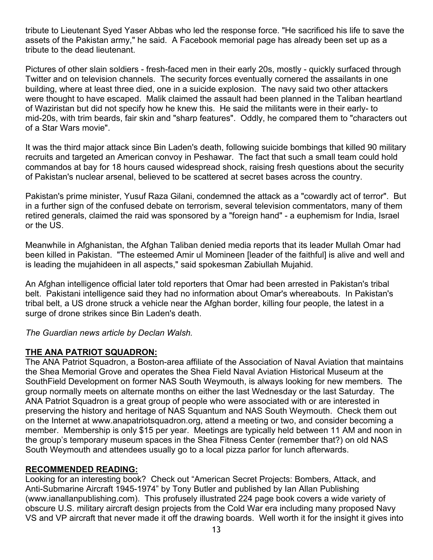tribute to Lieutenant Syed Yaser Abbas who led the response force. "He sacrificed his life to save the assets of the Pakistan army," he said. A Facebook memorial page has already been set up as a tribute to the dead lieutenant.

Pictures of other slain soldiers - fresh-faced men in their early 20s, mostly - quickly surfaced through Twitter and on television channels. The security forces eventually cornered the assailants in one building, where at least three died, one in a suicide explosion. The navy said two other attackers were thought to have escaped. Malik claimed the assault had been planned in the Taliban heartland of Waziristan but did not specify how he knew this. He said the militants were in their early- to mid-20s, with trim beards, fair skin and "sharp features". Oddly, he compared them to "characters out of a Star Wars movie".

It was the third major attack since Bin Laden's death, following suicide bombings that killed 90 military recruits and targeted an American convoy in Peshawar. The fact that such a small team could hold commandos at bay for 18 hours caused widespread shock, raising fresh questions about the security of Pakistan's nuclear arsenal, believed to be scattered at secret bases across the country.

Pakistan's prime minister, Yusuf Raza Gilani, condemned the attack as a "cowardly act of terror". But in a further sign of the confused debate on terrorism, several television commentators, many of them retired generals, claimed the raid was sponsored by a "foreign hand" - a euphemism for India, Israel or the US.

Meanwhile in Afghanistan, the Afghan Taliban denied media reports that its leader Mullah Omar had been killed in Pakistan. "The esteemed Amir ul Momineen [leader of the faithful] is alive and well and is leading the mujahideen in all aspects," said spokesman Zabiullah Mujahid.

An Afghan intelligence official later told reporters that Omar had been arrested in Pakistan's tribal belt. Pakistani intelligence said they had no information about Omar's whereabouts. In Pakistan's tribal belt, a US drone struck a vehicle near the Afghan border, killing four people, the latest in a surge of drone strikes since Bin Laden's death.

*The Guardian news article by Declan Walsh.* 

# **THE ANA PATRIOT SQUADRON:**

The ANA Patriot Squadron, a Boston-area affiliate of the Association of Naval Aviation that maintains the Shea Memorial Grove and operates the Shea Field Naval Aviation Historical Museum at the SouthField Development on former NAS South Weymouth, is always looking for new members. The group normally meets on alternate months on either the last Wednesday or the last Saturday. The ANA Patriot Squadron is a great group of people who were associated with or are interested in preserving the history and heritage of NAS Squantum and NAS South Weymouth. Check them out on the Internet at www.anapatriotsquadron.org, attend a meeting or two, and consider becoming a member. Membership is only \$15 per year. Meetings are typically held between 11 AM and noon in the group's temporary museum spaces in the Shea Fitness Center (remember that?) on old NAS South Weymouth and attendees usually go to a local pizza parlor for lunch afterwards.

# **RECOMMENDED READING:**

Looking for an interesting book? Check out "American Secret Projects: Bombers, Attack, and Anti-Submarine Aircraft 1945-1974" by Tony Butler and published by Ian Allan Publishing (www.ianallanpublishing.com). This profusely illustrated 224 page book covers a wide variety of obscure U.S. military aircraft design projects from the Cold War era including many proposed Navy VS and VP aircraft that never made it off the drawing boards. Well worth it for the insight it gives into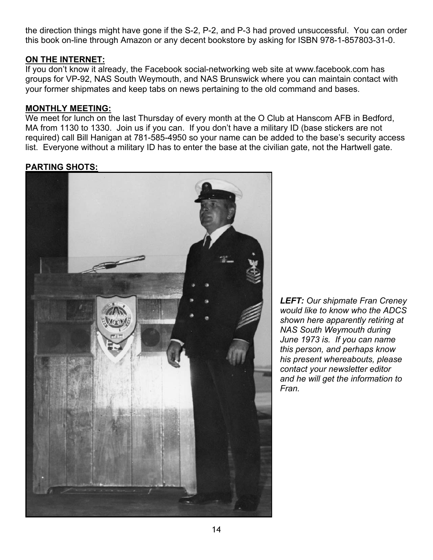the direction things might have gone if the S-2, P-2, and P-3 had proved unsuccessful. You can order this book on-line through Amazon or any decent bookstore by asking for ISBN 978-1-857803-31-0.

## **ON THE INTERNET:**

If you don't know it already, the Facebook social-networking web site at www.facebook.com has groups for VP-92, NAS South Weymouth, and NAS Brunswick where you can maintain contact with your former shipmates and keep tabs on news pertaining to the old command and bases.

#### **MONTHLY MEETING:**

We meet for lunch on the last Thursday of every month at the O Club at Hanscom AFB in Bedford, MA from 1130 to 1330. Join us if you can. If you don't have a military ID (base stickers are not required) call Bill Hanigan at 781-585-4950 so your name can be added to the base's security access list. Everyone without a military ID has to enter the base at the civilian gate, not the Hartwell gate.

# **PARTING SHOTS:**



*LEFT: Our shipmate Fran Creney would like to know who the ADCS shown here apparently retiring at NAS South Weymouth during June 1973 is. If you can name this person, and perhaps know his present whereabouts, please contact your newsletter editor and he will get the information to Fran.*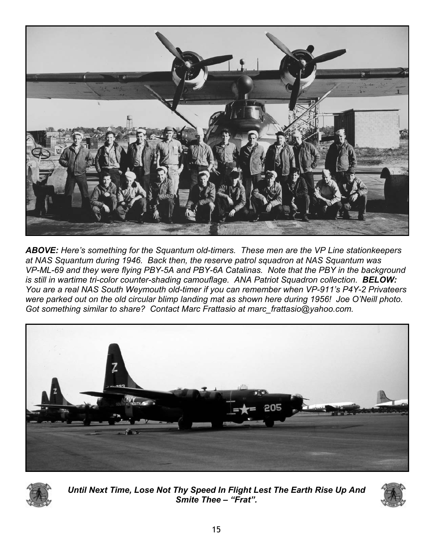

*ABOVE: Here's something for the Squantum old-timers. These men are the VP Line stationkeepers at NAS Squantum during 1946. Back then, the reserve patrol squadron at NAS Squantum was VP-ML-69 and they were flying PBY-5A and PBY-6A Catalinas. Note that the PBY in the background is still in wartime tri-color counter-shading camouflage. ANA Patriot Squadron collection. BELOW: You are a real NAS South Weymouth old-timer if you can remember when VP-911's P4Y-2 Privateers were parked out on the old circular blimp landing mat as shown here during 1956! Joe O'Neill photo. Got something similar to share? Contact Marc Frattasio at marc\_frattasio@yahoo.com.*





*Until Next Time, Lose Not Thy Speed In Flight Lest The Earth Rise Up And Smite Thee – "Frat".*